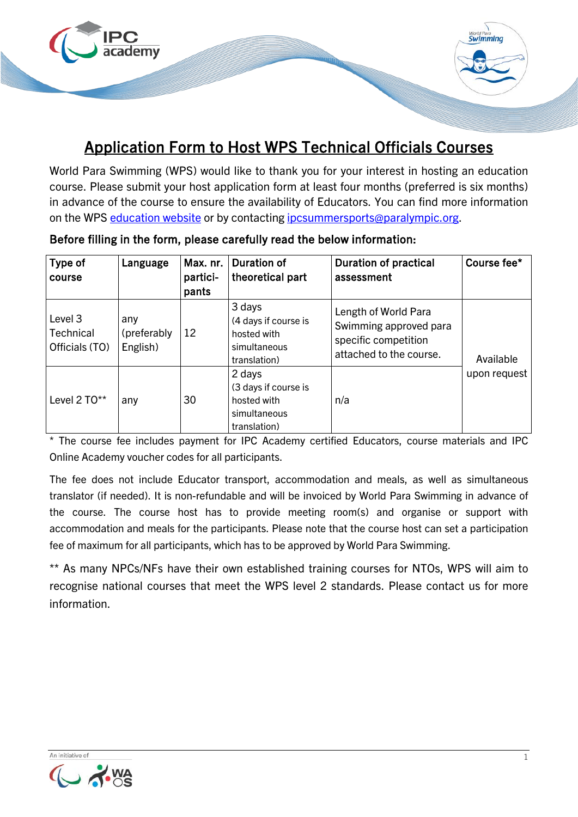

## Application Form to Host WPS Technical Officials Courses

World Para Swimming (WPS) would like to thank you for your interest in hosting an education course. Please submit your host application form at least four months (preferred is six months) in advance of the course to ensure the availability of Educators. You can find more information on the WPS [education website](https://www.paralympic.org/swimming/education/technical-officials) or by contacting ipcsummersports@paralympic.org.

| Type of<br>course                      | Language                        | Max. nr.<br>partici-<br>pants | <b>Duration of</b><br>theoretical part                                        | <b>Duration of practical</b><br>assessment                                                        | Course fee*               |
|----------------------------------------|---------------------------------|-------------------------------|-------------------------------------------------------------------------------|---------------------------------------------------------------------------------------------------|---------------------------|
| Level 3<br>Technical<br>Officials (TO) | any<br>(preferably)<br>English) | 12                            | 3 days<br>(4 days if course is<br>hosted with<br>simultaneous<br>translation) | Length of World Para<br>Swimming approved para<br>specific competition<br>attached to the course. | Available<br>upon request |
| Level 2 TO**                           | any                             | 30                            | 2 days<br>(3 days if course is<br>hosted with<br>simultaneous<br>translation) | n/a                                                                                               |                           |

Before filling in the form, please carefully read the below information:

\* The course fee includes payment for IPC Academy certified Educators, course materials and IPC Online Academy voucher codes for all participants.

The fee does not include Educator transport, accommodation and meals, as well as simultaneous translator (if needed). It is non-refundable and will be invoiced by World Para Swimming in advance of the course. The course host has to provide meeting room(s) and organise or support with accommodation and meals for the participants. Please note that the course host can set a participation fee of maximum for all participants, which has to be approved by World Para Swimming.

\*\* As many NPCs/NFs have their own established training courses for NTOs, WPS will aim to recognise national courses that meet the WPS level 2 standards. Please contact us for more information.

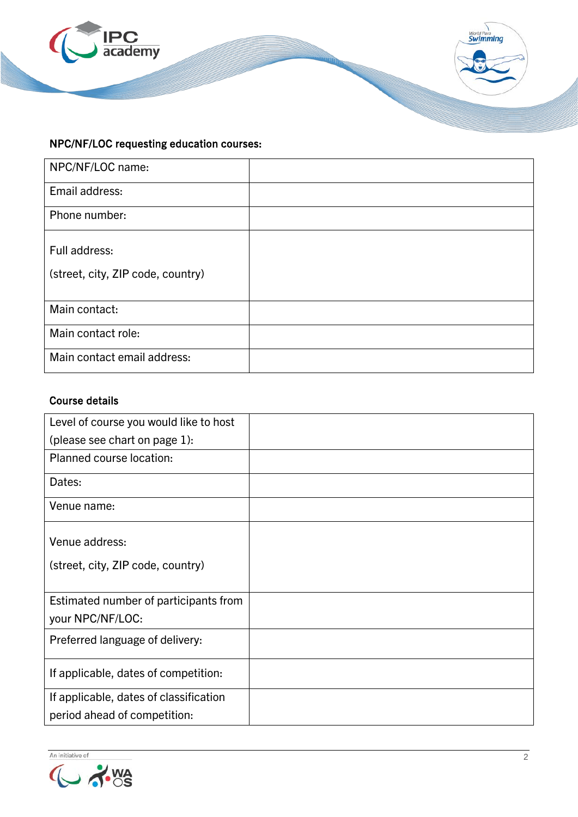

## NPC/NF/LOC requesting education courses:

| NPC/NF/LOC name:                  |  |
|-----------------------------------|--|
| Email address:                    |  |
| Phone number:                     |  |
| Full address:                     |  |
| (street, city, ZIP code, country) |  |
| Main contact:                     |  |
| Main contact role:                |  |
| Main contact email address:       |  |

## Course details

| Level of course you would like to host |  |
|----------------------------------------|--|
| (please see chart on page 1):          |  |
| Planned course location:               |  |
| Dates:                                 |  |
| Venue name:                            |  |
| Venue address:                         |  |
| (street, city, ZIP code, country)      |  |
| Estimated number of participants from  |  |
| your NPC/NF/LOC:                       |  |
| Preferred language of delivery:        |  |
| If applicable, dates of competition:   |  |
| If applicable, dates of classification |  |
| period ahead of competition:           |  |